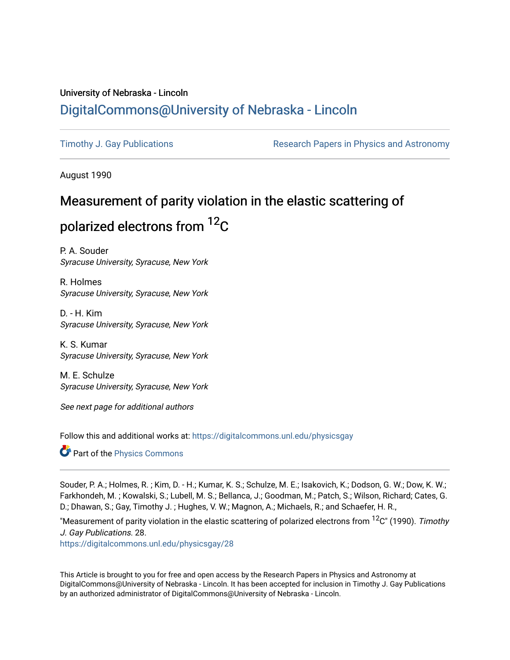### University of Nebraska - Lincoln [DigitalCommons@University of Nebraska - Lincoln](https://digitalcommons.unl.edu/)

[Timothy J. Gay Publications](https://digitalcommons.unl.edu/physicsgay) **Research Papers in Physics and Astronomy** 

August 1990

# Measurement of parity violation in the elastic scattering of polarized electrons from 12C

P. A. Souder Syracuse University, Syracuse, New York

R. Holmes Syracuse University, Syracuse, New York

D. - H. Kim Syracuse University, Syracuse, New York

K. S. Kumar Syracuse University, Syracuse, New York

M. E. Schulze Syracuse University, Syracuse, New York

See next page for additional authors

Follow this and additional works at: [https://digitalcommons.unl.edu/physicsgay](https://digitalcommons.unl.edu/physicsgay?utm_source=digitalcommons.unl.edu%2Fphysicsgay%2F28&utm_medium=PDF&utm_campaign=PDFCoverPages)

**Part of the [Physics Commons](http://network.bepress.com/hgg/discipline/193?utm_source=digitalcommons.unl.edu%2Fphysicsgay%2F28&utm_medium=PDF&utm_campaign=PDFCoverPages)** 

Souder, P. A.; Holmes, R. ; Kim, D. - H.; Kumar, K. S.; Schulze, M. E.; Isakovich, K.; Dodson, G. W.; Dow, K. W.; Farkhondeh, M. ; Kowalski, S.; Lubell, M. S.; Bellanca, J.; Goodman, M.; Patch, S.; Wilson, Richard; Cates, G. D.; Dhawan, S.; Gay, Timothy J. ; Hughes, V. W.; Magnon, A.; Michaels, R.; and Schaefer, H. R.,

"Measurement of parity violation in the elastic scattering of polarized electrons from  ${}^{12}C$ " (1990). Timothy J. Gay Publications. 28.

[https://digitalcommons.unl.edu/physicsgay/28](https://digitalcommons.unl.edu/physicsgay/28?utm_source=digitalcommons.unl.edu%2Fphysicsgay%2F28&utm_medium=PDF&utm_campaign=PDFCoverPages) 

This Article is brought to you for free and open access by the Research Papers in Physics and Astronomy at DigitalCommons@University of Nebraska - Lincoln. It has been accepted for inclusion in Timothy J. Gay Publications by an authorized administrator of DigitalCommons@University of Nebraska - Lincoln.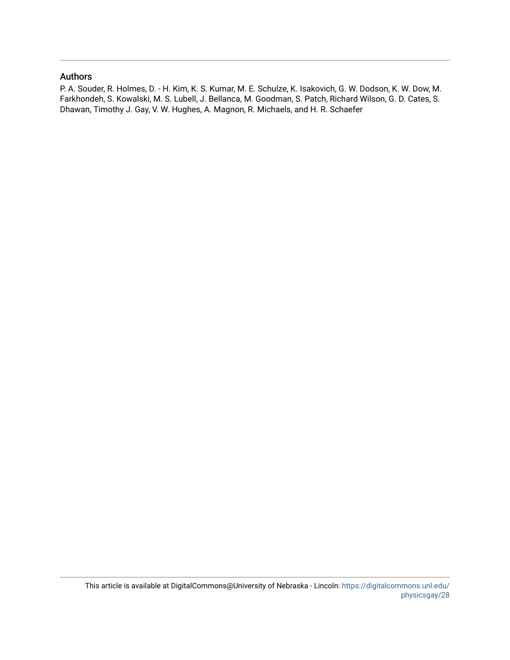#### Authors

P. A. Souder, R. Holmes, D. - H. Kim, K. S. Kumar, M. E. Schulze, K. Isakovich, G. W. Dodson, K. W. Dow, M. Farkhondeh, S. Kowalski, M. S. Lubell, J. Bellanca, M. Goodman, S. Patch, Richard Wilson, G. D. Cates, S. Dhawan, Timothy J. Gay, V. W. Hughes, A. Magnon, R. Michaels, and H. R. Schaefer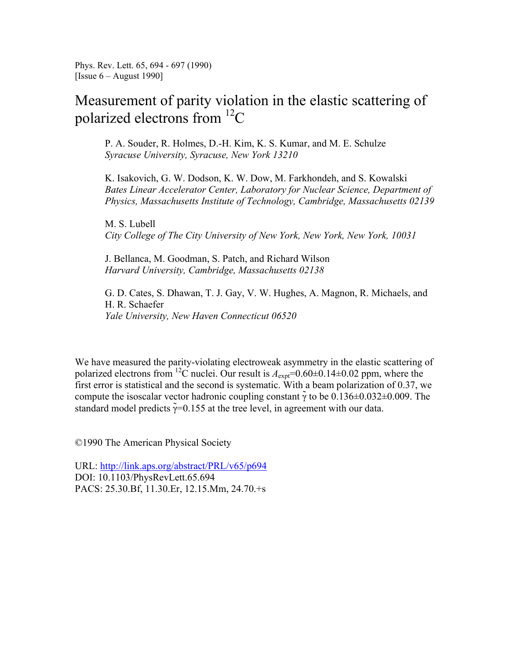Phys. Rev. Lett. 65, 694 - 697 (1990) [Issue  $6 -$  August 1990]

## Measurement of parity violation in the elastic scattering of polarized electrons from 12C

P. A. Souder, R. Holmes, D.-H. Kim, K. S. Kumar, and M. E. Schulze *Syracuse University, Syracuse, New York 13210* 

K. Isakovich, G. W. Dodson, K. W. Dow, M. Farkhondeh, and S. Kowalski *Bates Linear Accelerator Center, Laboratory for Nuclear Science, Department of Physics, Massachusetts Institute of Technology, Cambridge, Massachusetts 02139* 

M. S. Lubell *City College of The City University of New York, New York, New York, 10031* 

J. Bellanca, M. Goodman, S. Patch, and Richard Wilson *Harvard University, Cambridge, Massachusetts 02138* 

G. D. Cates, S. Dhawan, T. J. Gay, V. W. Hughes, A. Magnon, R. Michaels, and H. R. Schaefer *Yale University, New Haven Connecticut 06520* 

We have measured the parity-violating electroweak asymmetry in the elastic scattering of polarized electrons from <sup>12</sup>C nuclei. Our result is  $A_{\text{expt}}=0.60\pm0.14\pm0.02$  ppm, where the first error is statistical and the second is systematic. With a beam polarization of 0.37, we compute the isoscalar vector hadronic coupling constant  $\tilde{\gamma}$  to be 0.136±0.032±0.009. The standard model predicts  $\tilde{\gamma}=0.155$  at the tree level, in agreement with our data.

©1990 The American Physical Society

URL: http://link.aps.org/abstract/PRL/v65/p694 DOI: 10.1103/PhysRevLett.65.694 PACS: 25.30.Bf, 11.30.Er, 12.15.Mm, 24.70.+s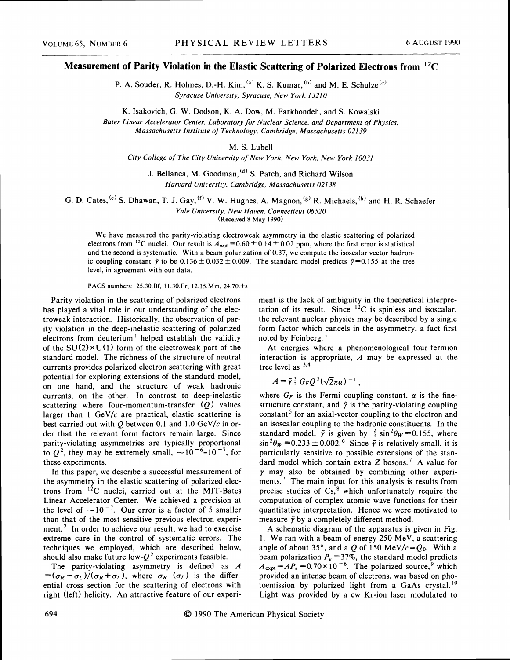#### **Measurement of Parity Violation in the Elastic Scattering of Polarized Electrons from I2C**

P. A. Souder, R. Holmes, D.-H. Kim,  $^{(a)}$  K. S. Kumar,  $^{(b)}$  and M. E. Schulze $^{(c)}$ *Syracuse Unicersity, Syracuse, New York 1321 0* 

K. Isakovich, G. W. Dodson, K. A. Dow, M. Farkhondeh, and S. Kowalski

*Bates Linear Accelerator Center, Laboratory for Nuclear Science, and Department of Physics, Massachusetts Institute* of *Technology, Cambridge, Massachusetts 021 39* 

M. S. Lubell

*City College of The City University of New York, New York, New York 10031* 

J. Bellanca, M. Goodman, <sup>(d)</sup> S. Patch, and Richard Wilson *Harcard University, Cambridge, Massachusetts 021 38* 

G. D. Cates,  $^{(e)}$  S. Dhawan, T. J. Gay,  $^{(f)}$  V. W. Hughes, A. Magnon,  $^{(g)}$  R. Michaels,  $^{(h)}$  and H. R. Schaefer *Yale Uniuersity, New Haven, Connecticut 06520* 

(Received 8 May 1990)

We have measured the parity-violating electroweak asymmetry in the elastic scattering of polarized electrons from <sup>12</sup>C nuclei. Our result is  $A_{\text{expt}} = 0.60 \pm 0.14 \pm 0.02$  ppm, where the first error is statistical and the second is systematic. With a beam polarization of 0.37, we compute the isoscalar vector hadronic coupling constant  $\tilde{\gamma}$  to be 0.136  $\pm$  0.032  $\pm$  0.009. The standard model predicts  $\tilde{\gamma}$ =0.155 at the tree level, in agreement with our data.

PACS numbers: 25.30.Bf, 11.30.Er, 12.15.Mm, 24.70.+s

Parity violation in the scattering of polarized electrons has played a vital role in our understanding of the electroweak interaction. Historically, the observation of parity violation in the deep-inelastic scattering of polarized electrons from deuterium<sup>1</sup> helped establish the validity of the  $SU(2) \times U(1)$  form of the electroweak part of the standard model. The richness of the structure of neutral currents provides polarized electron scattering with great potential for exploring extensions of the standard model, on one hand, and the structure of weak hadronic currents, on the other. In contrast to deep-inelastic scattering where four-momentum-transfer  $(Q)$  values larger than 1 GeV/ $c$  are practical, elastic scattering is best carried out with  $Q$  between 0.1 and 1.0 GeV/ $c$  in order that the relevant form factors remain large. Since parity-violating asymmetries are typically proportional to  $Q^2$ , they may be extremely small,  $\sim 10^{-6}$ -10<sup>-7</sup>, for these experiments.

In this paper, we describe a successful measurement of the asymmetry in the elastic scattering of polarized electrons from  ${}^{12}C$  nuclei, carried out at the MIT-Bates Linear Accelerator Center. We achieved a precision at the level of  $\sim 10^{-7}$ . Our error is a factor of 5 smaller than that of the most sensitive previous electron experiment.<sup>2</sup> In order to achieve our result, we had to exercise extreme care in the control of systematic errors. The techniques we employed, which are described below, should also make future low- $Q^2$  experiments feasible.

The parity-violating asymmetry is defined as A  $=(\sigma_R - \sigma_L)/(\sigma_R + \sigma_L)$ , where  $\sigma_R$  ( $\sigma_L$ ) is the differential cross section for the scattering of electrons with right (left) helicity. An attractive feature of our experiment is the lack of ambiguity in the theoretical interpretation of its result. Since  $12C$  is spinless and isoscalar, the relevant nuclear physics may be described by a single form factor which cancels in the asymmetry, a fact first noted by Feinberg.<sup>3</sup>

At energies where a phenomenological four-fermion interaction is appropriate, *A* may be expressed at the tree level as  $3,4$ 

$$
A = \tilde{\gamma} \frac{3}{2} G_F Q^2 (\sqrt{2} \pi a)^{-1}
$$

where  $G_F$  is the Fermi coupling constant,  $\alpha$  is the finestructure constant, and  $\tilde{\gamma}$  is the parity-violating coupling constant<sup>5</sup> for an axial-vector coupling to the electron and an isoscalar coupling to the hadronic constituents. In the standard model,  $\tilde{\gamma}$  is given by  $\frac{2}{3}$  sin<sup>2</sup> $\theta_W$  =0.155, where  $\sin^2\theta_W = 0.233 \pm 0.002$ .<sup>6</sup> Since  $\tilde{\gamma}$  is relatively small, it is particularly sensitive to possible extensions of the standard model which contain extra  $Z$  bosons.<sup>7</sup> A value for  $\tilde{\gamma}$  may also be obtained by combining other experiments.<sup>7</sup> The main input for this analysis is results from precise studies of  $Cs$ <sup>8</sup> which unfortunately require the computation of complex atomic wave functions for their quantitative interpretation. Hence we were motivated to measure  $\tilde{\gamma}$  by a completely different method.

A schematic diagram of the apparatus is given in Fig. 1. We ran with a beam of energy 250 MeV, a scattering angle of about 35°, and a Q of 150 MeV/ $c \equiv Q_0$ . With a beam polarization  $P_e = 37\%$ , the standard model predicts  $A_{\text{expt}} = AP_e = 0.70 \times 10^{-6}$ . The polarized source,<sup>9</sup> which provided an intense beam of electrons, was based on photoemission by polarized light from a GaAs crystal.<sup>10</sup> Light was provided by a cw Kr-ion laser modulated to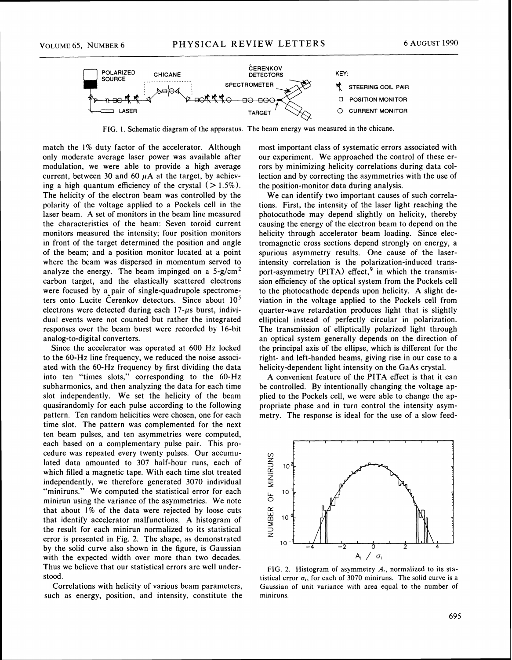

FIG. 1. Schematic diagram of the apparatus. The beam energy was measured in the chicane.

match the 1% duty factor of the accelerator. Although only moderate average laser power was available after modulation, we were able to provide a high average current, between 30 and 60  $\mu$ A at the target, by achieving a high quantum efficiency of the crystal  $($  > 1.5%). The helicity of the electron beam was controlled by the polarity of the voltage applied to a Pockels cell in the laser beam. **A** set of monitors in the beam line measured the characteristics of the beam: Seven toroid current monitors measured the intensity; four position monitors in front of the target determined the position and angle of the beam; and a position monitor located at a point where the beam was dispersed in momentum served to analyze the energy. The beam impinged on a  $5-g/cm<sup>2</sup>$ carbon target, and the elastically scattered electrons were focused by a pair of single-quadrupole spectrometers onto Lucite Cerenkov detectors. Since about 10' electrons were detected during each  $17$ - $\mu s$  burst, individual events were not counted but rather the integrated responses over the beam burst were recorded by 16-bit analog-to-digital converters.

Since the accelerator was operated at 600 Hz locked to the 60-Hz line frequency, we reduced the noise associated with the 60-Hz frequency by first dividing the data into ten "times slots," corresponding to the 60-Hz subharmonics, and then analyzing the data for each time slot independently. We set the helicity of the beam quasirandomly for each pulse according to the following pattern. Ten random helicities were chosen, one for each time slot. The pattern was complemented for the next ten beam pulses, and ten asymmetries were computed, each based on a complementary pulse pair. This procedure was repeated every twenty pulses. Our accumulated data amounted to 307 half-hour runs, each of which filled a magnetic tape. With each time slot treated independently, we therefore generated 3070 individual "miniruns." We computed the statistical error for each minirun using the variance of the asymmetries. We note that about 1% of the data were rejected by loose cuts that identify accelerator malfunctions. A histogram of the result for each minirun normalized to its statistical error is presented in Fig. 2. The shape, as demonstrated by the solid curve also shown in the figure, is Gaussian with the expected width over more than two decades. Thus we believe that our statistical errors are well understood.

Correlations with helicity of various beam parameters, such as energy, position, and intensity, constitute the most important class of systematic errors associated with our experiment. We approached the control of these errors by minimizing helicity correlations during data collection and by correcting the asymmetries with the use of the position-monitor data during analysis.

We can identify two important causes of such correlations. First, the intensity of the laser light reaching the photocathode may depend slightly on helicity, thereby causing the energy of the electron beam to depend on the helicity through accelerator beam loading. Since electromagnetic cross sections depend strongly on energy, a spurious asymmetry results. One cause of the laserintensity correlation is the polarization-induced transport-asymmetry (PITA) effect,<sup>9</sup> in which the transmission efficiency of the optical system from the Pockels cell to the photocathode depends upon helicity. A slight deviation in the voltage applied to the Pockels cell from quarter-wave retardation produces light that is slightly elliptical instead of perfectly circular in polarization. The transmission of elliptically polarized light through an optical system generally depends on the direction of the principal axis of the ellipse, which is different for the right- and left-handed beams, giving rise in our case to a helicity-dependent light intensity on the GaAs crystal.

A convenient feature of the PITA effect is that it can be controlled. By intentionally changing the voltage applied to the Pockels cell, we were able to change the appropriate phase and in turn control the intensity asymmetry. The response is ideal for the use of a slow feed-



FIG. 2. Histogram of asymmetry *A,,* normalized to its statistical error  $\sigma_i$ , for each of 3070 miniruns. The solid curve is a Gaussian of unit variance with area equal to the number of miniruns.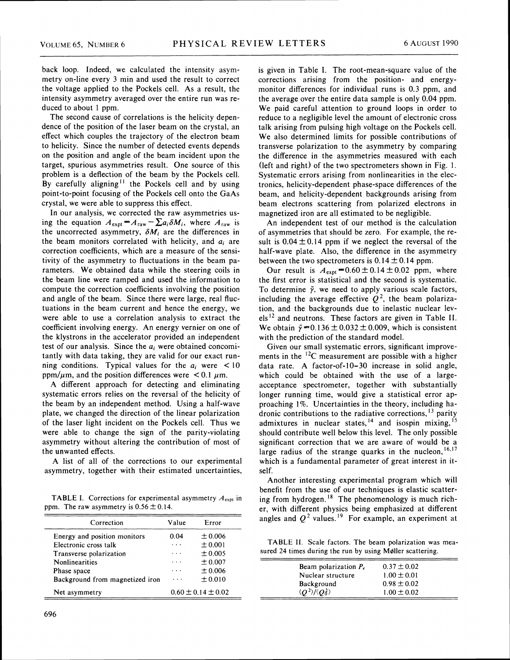back loop. Indeed, we calculated the intensity asymmetry on-line every 3 min and used the result to correct the voltage applied to the Pockels cell. As a result, the intensity asymmetry averaged over the entire run was reduced to about 1 ppm.

The second cause of correlations is the helicity dependence of the position of the laser beam on the crystal, an effect which couples the trajectory of the electron beam to helicity. Since the number of detected events depends on the position and angle of the beam incident upon the target, spurious asymmetries result. One source of this problem is a deflection of the beam by the Pockels cell. By carefully aligning<sup>11</sup> the Pockels cell and by using point-to-point focusing of the Pockels cell onto the GaAs crystal, we were able to suppress this effect.

In our analysis, we corrected the raw asymmetries using the equation  $A_{\text{expt}} = A_{\text{raw}} - \sum a_i \delta M_i$ , where  $A_{\text{raw}}$  is the uncorrected asymmetry,  $\delta M_i$  are the differences in the beam monitors correlated with helicity, and **a;** are correction coefficients, which are a measure of the sensitivity of the asymmetry to fluctuations in the beam parameters. We obtained data while the steering coils in the beam line were ramped and used the information to compute the correction coefficients involving the position and angle of the beam. Since there were large, real fluctuations in the beam current and hence the energy, we were able to use a correlation analysis to extract the coefficient involving energy. An energy vernier on one of the klystrons in the accelerator provided an independent test of our analysis. Since the  $a_i$  were obtained concomitantly with data taking, they are valid for our exact running conditions. Typical values for the  $a_i$  were  $\lt 10$ ppm/ $\mu$ m, and the position differences were < 0.1  $\mu$ m.

**A** different approach for detecting and eliminating systematic errors relies on the reversal of the helicity of the beam by an independent method. Using a half-wave plate, we changed the direction of the linear polarization of the laser light incident on the Pockels cell. Thus we were able to change the sign of the parity-violating asymmetry without altering the contribution of most of the unwanted effects.

A list of all of the corrections to our experimental asymmetry, together with their estimated uncertainties,

TABLE I. Corrections for experimental asymmetry  $A_{\text{expt}}$  in ppm. The raw asymmetry is  $0.56 \pm 0.14$ .

| Correction                                                                       | Value                                                | Error                                 | angles and $Q^2$ values. <sup>19</sup> For example, an exp                                                          |
|----------------------------------------------------------------------------------|------------------------------------------------------|---------------------------------------|---------------------------------------------------------------------------------------------------------------------|
| Energy and position monitors<br>Electronic cross talk<br>Transverse polarization | 0.04<br>$\sim$ $\sim$ $\sim$<br>$\sim$ $\sim$ $\sim$ | $\pm 0.006$<br>± 0.001<br>$\pm 0.005$ | TABLE II. Scale factors. The beam polarization<br>sured 24 times during the run by using Møller scatt               |
| <b>Nonlinearities</b><br>Phase space<br>Background from magnetized iron          | $\cdots$<br>$\cdots$<br>$\sim$ $\sim$ $\sim$         | ± 0.007<br>± 0.006<br>± 0.010         | $0.37 \pm 0.02$<br>Beam polarization $P_e$<br>Nuclear structure<br>$1.00 \pm 0.01$<br>$0.98 \pm 0.02$<br>Background |
| Net asymmetry                                                                    |                                                      | $0.60 \pm 0.14 \pm 0.02$              | $\langle Q^2 \rangle / \langle Q_0^2 \rangle$<br>$1.00 \pm 0.02$                                                    |

is given in Table I. The root-mean-square value of the corrections arising from the position- and energymonitor differences for individual runs is 0.3 ppm, and the average over the entire data sample is only 0.04 ppm. We paid careful attention to ground loops in order to reduce to a negligible level the amount of electronic cross talk arising from pulsing high voltage on the Pockels cell. We also determined limits for possible contributions of transverse polarization to the asymmetry by comparing the difference in the asymmetries measured with each (left and right) of the two spectrometers shown in Fig. 1. Systematic errors arising from nonlinearities in the electronics, helicity-dependent phase-space differences of the beam, and helicity-dependent backgrounds arising from beam electrons scattering from polarized electrons in magnetized iron are all estimated to be negligible.

An independent test of our method is the calculation of asymmetries that should be zero. For example, the result is  $0.04 \pm 0.14$  ppm if we neglect the reversal of the half-wave plate. Also, the difference in the asymmetry between the two spectrometers is  $0.14 \pm 0.14$  ppm.

Our result is  $A_{\text{exot}} = 0.60 \pm 0.14 \pm 0.02$  ppm, where the first error is statistical and the second is systematic. To determine  $\tilde{\gamma}$ , we need to apply various scale factors, including the average effective  $Q^2$ , the beam polarization, and the backgrounds due to inelastic nuclear levels<sup>12</sup> and neutrons. These factors are given in Table II. We obtain  $\tilde{\gamma} = 0.136 \pm 0.032 \pm 0.009$ , which is consistent with the prediction of the standard model.

Given our small systematic errors, significant improvements in the  $12C$  measurement are possible with a higher data rate. A factor-of-10-30 increase in solid angle, which could be obtained with the use of a largeacceptance spectrometer, together with substantially longer running time, would give a statistical error approaching 1%. Uncertainties in the theory, including hadronic contributions to the radiative corrections,  $\frac{13}{2}$  parity admixtures in nuclear states,<sup>14</sup> and isospin mixing,<sup>1</sup> should contribute well below this level. The only possible significant correction that we are aware of would be a large radius of the strange quarks in the nucleon,  $^{16,17}$ which is a fundamental parameter of great interest in itself.

Another interesting experimental program which will benefit from the use of our techniques is elastic scattering from hydrogen.<sup>18</sup> The phenomenology is much richer, with different physics being emphasized at different angles and  $Q^2$  values.<sup>19</sup> For example, an experiment at

TABLE II. Scale factors. The beam polarization was measured 24 times during the run by using Møller scattering.

| Beam polarization $P_e$                       | $0.37 \pm 0.02$ |
|-----------------------------------------------|-----------------|
| Nuclear structure                             | $1.00 \pm 0.01$ |
| Background                                    | $0.98 \pm 0.02$ |
| $\langle Q^2 \rangle / \langle Q_0^2 \rangle$ | $1.00 \pm 0.02$ |